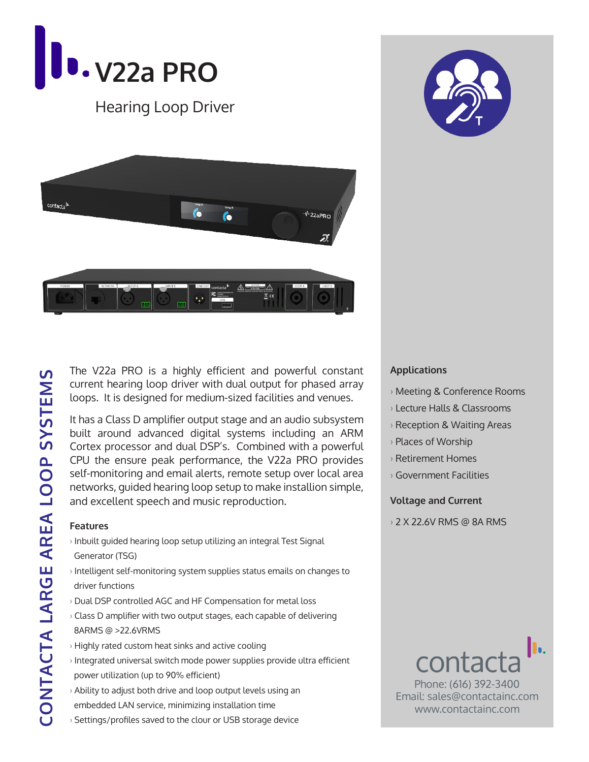





The V22a PRO is a highly efficient and powerful constant current hearing loop driver with dual output for phased array loops. It is designed for medium-sized facilities and venues.

It has a Class D amplifier output stage and an audio subsystem built around advanced digital systems including an ARM Cortex processor and dual DSP's. Combined with a powerful CPU the ensure peak performance, the V22a PRO provides self-monitoring and email alerts, remote setup over local area networks, guided hearing loop setup to make installion simple, and excellent speech and music reproduction.

### **Features**

- › Inbuilt guided hearing loop setup utilizing an integral Test Signal Generator (TSG)
- › Intelligent self-monitoring system supplies status emails on changes to driver functions
- › Dual DSP controlled AGC and HF Compensation for metal loss
- › Class D amplifier with two output stages, each capable of delivering 8ARMS @ >22.6VRMS
- › Highly rated custom heat sinks and active cooling
- › Integrated universal switch mode power supplies provide ultra efficient power utilization (up to 90% efficient)
- › Ability to adjust both drive and loop output levels using an embedded LAN service, minimizing installation time
- › Settings/profiles saved to the clour or USB storage device

### **Applications**

- › Meeting & Conference Rooms
- › Lecture Halls & Classrooms
- › Reception & Waiting Areas
- › Places of Worship
- › Retirement Homes
- › Government Facilities

### **Voltage and Current**

› 2 X 22.6V RMS @ 8A RMS



Email: sales@contactainc.com www.contactainc.com